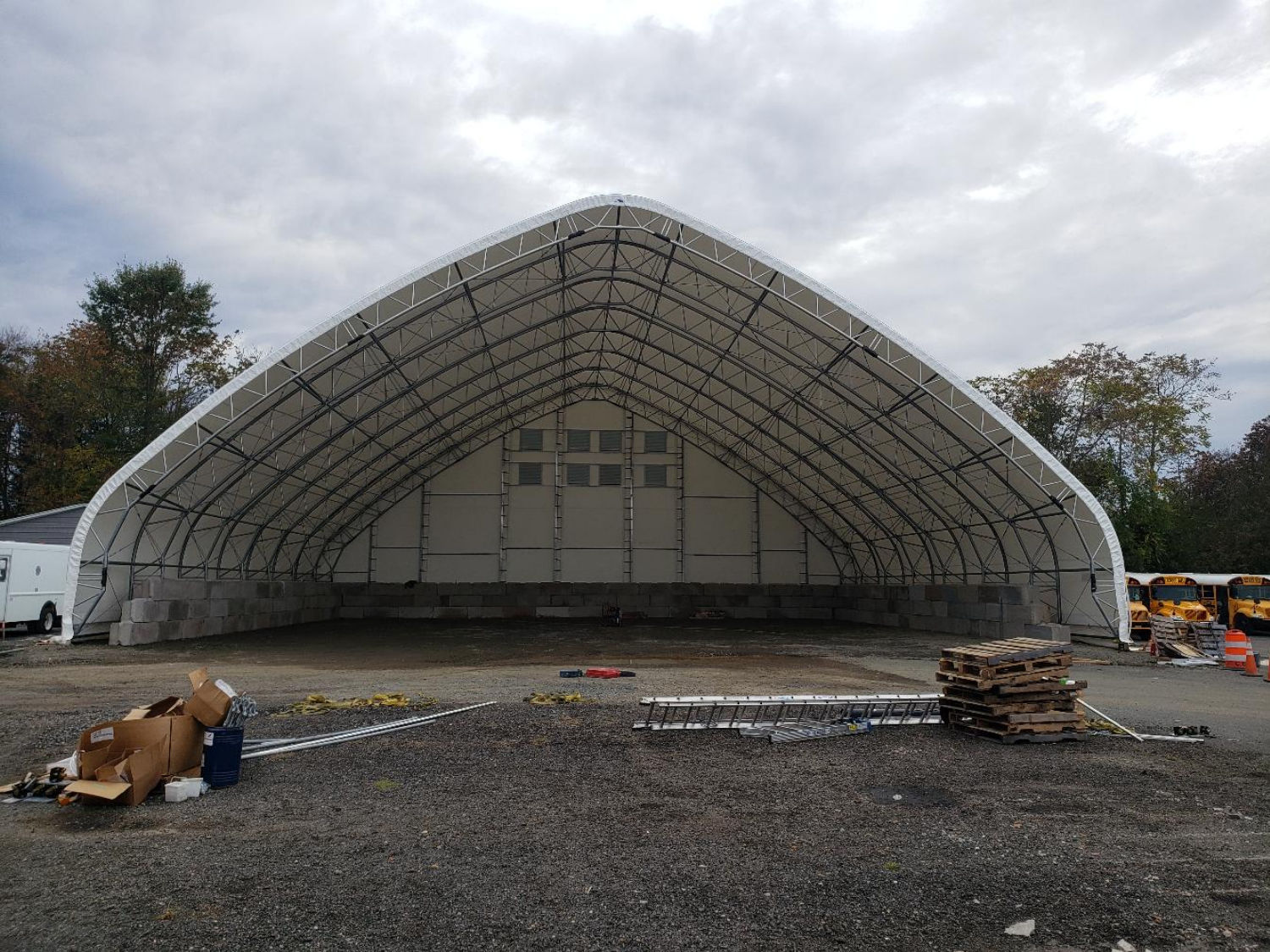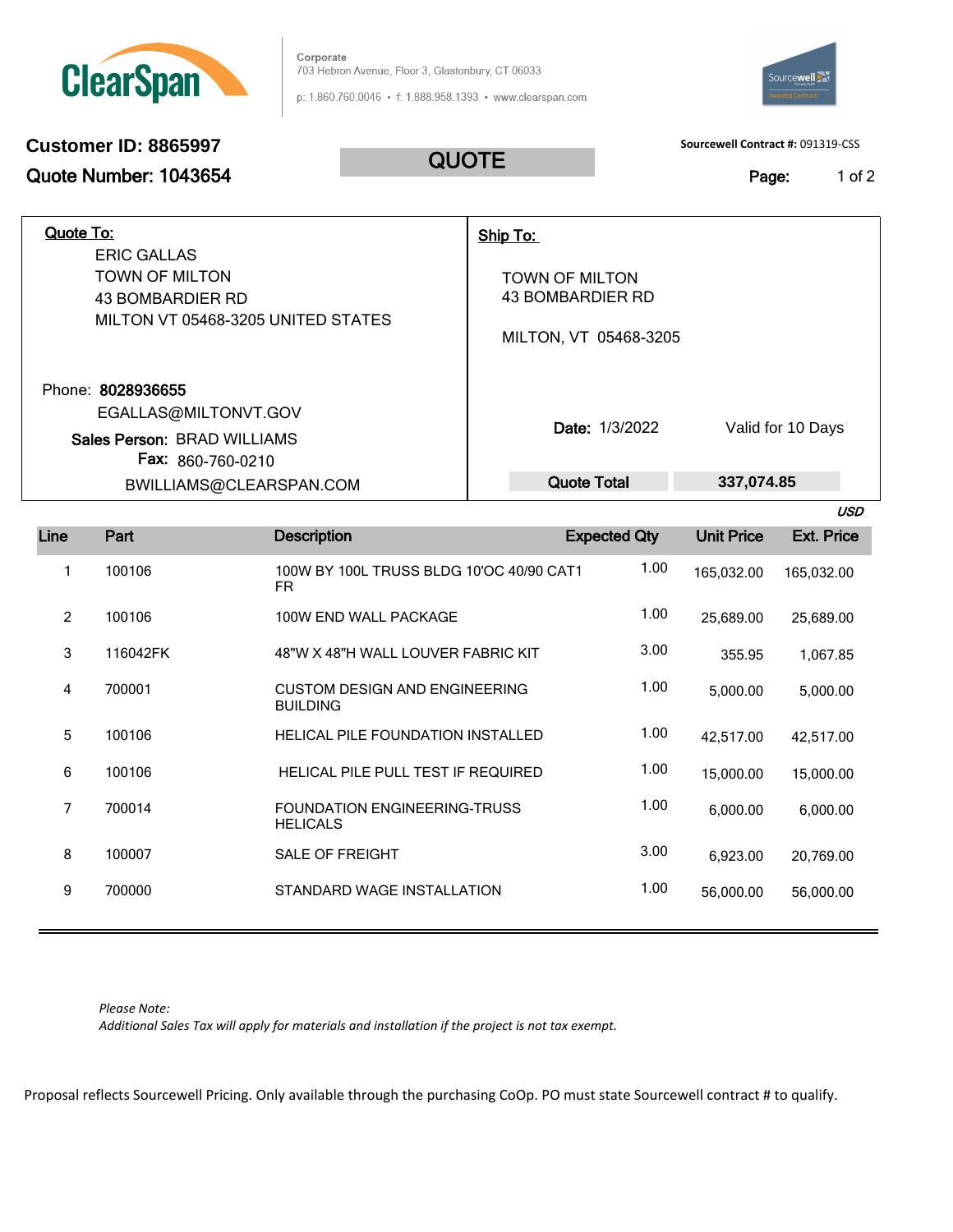

Quote Number: 1043654

QUOTE



**Customer ID: 8865997 Sourcewell Contract #: 091319-CSS** 

| <b>Quote To:</b>                                        | Ship To:              |                   |
|---------------------------------------------------------|-----------------------|-------------------|
| <b>ERIC GALLAS</b>                                      |                       |                   |
| <b>TOWN OF MILTON</b>                                   | <b>TOWN OF MILTON</b> |                   |
| 43 BOMBARDIER RD                                        | 43 BOMBARDIER RD      |                   |
| MILTON VT 05468-3205 UNITED STATES                      | MILTON, VT 05468-3205 |                   |
| Phone: 8028936655                                       |                       |                   |
| EGALLAS@MILTONVT.GOV                                    | <b>Date: 1/3/2022</b> |                   |
| Sales Person: BRAD WILLIAMS<br><b>Fax: 860-760-0210</b> |                       | Valid for 10 Days |
| BWILLIAMS@CLEARSPAN.COM                                 | <b>Quote Total</b>    | 337,074.85        |
|                                                         |                       | USD               |

| Line          | Part     | <b>Description</b>                                      | <b>Expected Qty</b> | <b>Unit Price</b> | <b>Ext. Price</b> |
|---------------|----------|---------------------------------------------------------|---------------------|-------------------|-------------------|
|               | 100106   | 100W BY 100L TRUSS BLDG 10'OC 40/90 CAT1<br>FR.         | 1.00                | 165.032.00        | 165,032.00        |
| $\mathcal{P}$ | 100106   | 100W END WALL PACKAGE                                   | 1.00                | 25,689.00         | 25,689.00         |
| 3             | 116042FK | 48"W X 48"H WALL LOUVER FABRIC KIT                      | 3.00                | 355.95            | 1,067.85          |
| 4             | 700001   | <b>CUSTOM DESIGN AND ENGINEERING</b><br><b>BUILDING</b> | 1.00                | 5,000.00          | 5,000.00          |
| 5             | 100106   | HELICAL PILE FOUNDATION INSTALLED                       | 1.00                | 42,517.00         | 42,517.00         |
| 6             | 100106   | HELICAL PILE PULL TEST IF REQUIRED                      | 1.00                | 15,000.00         | 15,000.00         |
| 7             | 700014   | <b>FOUNDATION ENGINEERING-TRUSS</b><br><b>HELICALS</b>  | 1.00                | 6,000.00          | 6,000.00          |
| 8             | 100007   | <b>SALE OF FREIGHT</b>                                  | 3.00                | 6,923.00          | 20,769.00         |
| 9             | 700000   | STANDARD WAGE INSTALLATION                              | 1.00                | 56,000.00         | 56,000.00         |

*Please Note: Additional Sales Tax will apply for materials and installation if the project is not tax exempt.* 

Proposal reflects Sourcewell Pricing. Only available through the purchasing CoOp. PO must state Sourcewell contract # to qualify.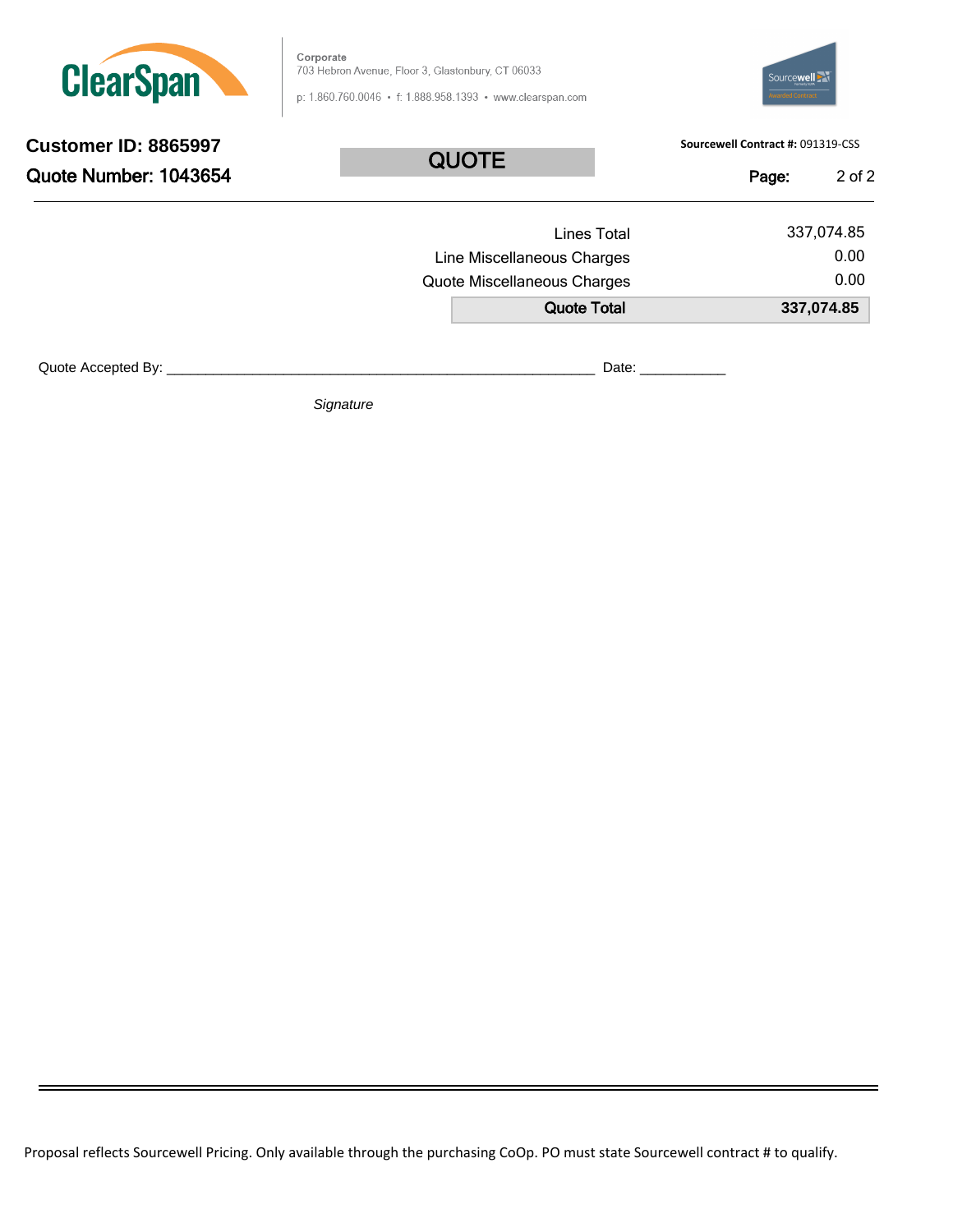

Corporate 703 Hebron Avenue, Floor 3, Glastonbury, CT 06033 p: 1.860.760.0046 • f: 1.888.958.1393 • www.clearspan.com



| <b>Customer ID: 8865997</b> |                             | Sourcewell Contract #: 091319-CSS |  |  |
|-----------------------------|-----------------------------|-----------------------------------|--|--|
| Quote Number: 1043654       | <b>QUOTE</b>                | $2$ of $2$<br>Page:               |  |  |
|                             | Lines Total                 | 337,074.85                        |  |  |
|                             | Line Miscellaneous Charges  | 0.00                              |  |  |
|                             | Quote Miscellaneous Charges | 0.00                              |  |  |
|                             | <b>Quote Total</b>          | 337,074.85                        |  |  |

Quote Accepted By: \_\_\_\_\_\_\_\_\_\_\_\_\_\_\_\_\_\_\_\_\_\_\_\_\_\_\_\_\_\_\_\_\_\_\_\_\_\_\_\_\_\_\_\_\_\_\_\_\_\_\_\_\_\_\_ Date: \_\_\_\_\_\_\_\_\_\_\_

**Signature**